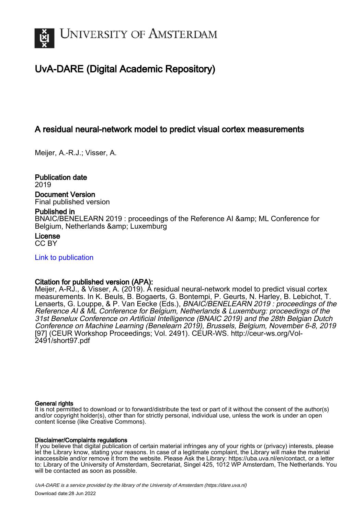

# UvA-DARE (Digital Academic Repository)

# A residual neural-network model to predict visual cortex measurements

Meijer, A.-R.J.; Visser, A.

Publication date 2019

# Document Version

Final published version

# Published in

BNAIC/BENELEARN 2019 : proceedings of the Reference AI & amp; ML Conference for Belgium, Netherlands & amp; Luxemburg

License CC BY

[Link to publication](https://dare.uva.nl/personal/pure/en/publications/a-residual-neuralnetwork-model-to-predict-visual-cortex-measurements(d865299c-c29c-470e-9bc1-d5ac47f7631e).html)

# Citation for published version (APA):

Meijer, A-RJ., & Visser, A. (2019). A residual neural-network model to predict visual cortex measurements. In K. Beuls, B. Bogaerts, G. Bontempi, P. Geurts, N. Harley, B. Lebichot, T. Lenaerts, G. Louppe, & P. Van Eecke (Eds.), BNAIC/BENELEARN 2019 : proceedings of the Reference AI & ML Conference for Belgium, Netherlands & Luxemburg: proceedings of the 31st Benelux Conference on Artificial Intelligence (BNAIC 2019) and the 28th Belgian Dutch Conference on Machine Learning (Benelearn 2019), Brussels, Belgium, November 6-8, 2019 [97] (CEUR Workshop Proceedings; Vol. 2491). CEUR-WS. [http://ceur-ws.org/Vol-](http://ceur-ws.org/Vol-2491/short97.pdf)[2491/short97.pdf](http://ceur-ws.org/Vol-2491/short97.pdf)

# General rights

It is not permitted to download or to forward/distribute the text or part of it without the consent of the author(s) and/or copyright holder(s), other than for strictly personal, individual use, unless the work is under an open content license (like Creative Commons).

# Disclaimer/Complaints regulations

If you believe that digital publication of certain material infringes any of your rights or (privacy) interests, please let the Library know, stating your reasons. In case of a legitimate complaint, the Library will make the material inaccessible and/or remove it from the website. Please Ask the Library: https://uba.uva.nl/en/contact, or a letter to: Library of the University of Amsterdam, Secretariat, Singel 425, 1012 WP Amsterdam, The Netherlands. You will be contacted as soon as possible.

UvA-DARE is a service provided by the library of the University of Amsterdam (http*s*://dare.uva.nl) Download date:28 Jun 2022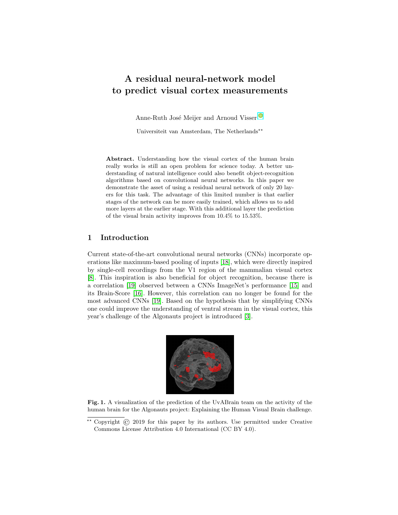# A residual neural-network model to predict visual cortex measurements

Anne-Ruth José Meijer and Arnoud Visser<sup>[0[\]](https://orcid.org/0000-0002-7525-7017)</sup>

Universiteit van Amsterdam, The Netherlands<sup>\*\*</sup>

Abstract. Understanding how the visual cortex of the human brain really works is still an open problem for science today. A better understanding of natural intelligence could also benefit object-recognition algorithms based on convolutional neural networks. In this paper we demonstrate the asset of using a residual neural network of only 20 layers for this task. The advantage of this limited number is that earlier stages of the network can be more easily trained, which allows us to add more layers at the earlier stage. With this additional layer the prediction of the visual brain activity improves from 10.4% to 15.53%.

### 1 Introduction

Current state-of-the-art convolutional neural networks (CNNs) incorporate operations like maximum-based pooling of inputs [\[18\]](#page-9-0), which were directly inspired by single-cell recordings from the V1 region of the mammalian visual cortex [\[8\]](#page-9-1). This inspiration is also beneficial for object recognition, because there is a correlation [\[19\]](#page-9-2) observed between a CNNs ImageNet's performance [\[15\]](#page-9-3) and its Brain-Score [\[16\]](#page-9-4). However, this correlation can no longer be found for the most advanced CNNs [\[19\]](#page-9-2). Based on the hypothesis that by simplifying CNNs one could improve the understanding of ventral stream in the visual cortex, this year's challenge of the Algonauts project is introduced [\[3\]](#page-9-5).



Fig. 1. A visualization of the prediction of the UvABrain team on the activity of the human brain for the Algonauts project: Explaining the Human Visual Brain challenge.

<sup>\*\*</sup> Copyright  $\circled{c}$  2019 for this paper by its authors. Use permitted under Creative Commons License Attribution 4.0 International (CC BY 4.0).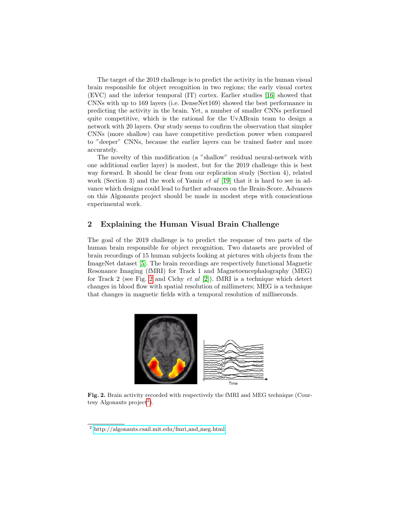The target of the 2019 challenge is to predict the activity in the human visual brain responsible for object recognition in two regions; the early visual cortex (EVC) and the inferior temporal (IT) cortex. Earlier studies [\[16\]](#page-9-4) showed that CNNs with up to 169 layers (i.e. DenseNet169) showed the best performance in predicting the activity in the brain. Yet, a number of smaller CNNs performed quite competitive, which is the rational for the UvABrain team to design a network with 20 layers. Our study seems to confirm the observation that simpler CNNs (more shallow) can have competitive prediction power when compared to "deeper" CNNs, because the earlier layers can be trained faster and more accurately.

The novelty of this modification (a "shallow" residual neural-network with one additional earlier layer) is modest, but for the 2019 challenge this is best way forward. It should be clear from our replication study (Section 4), related work (Section 3) and the work of Yamin *et al* [\[19\]](#page-9-2) that it is hard to see in advance which designs could lead to further advances on the Brain-Score. Advances on this Algonauts project should be made in modest steps with conscientious experimental work.

## 2 Explaining the Human Visual Brain Challenge

The goal of the 2019 challenge is to predict the response of two parts of the human brain responsible for object recognition. Two datasets are provided of brain recordings of 15 human subjects looking at pictures with objects from the ImageNet dataset [\[5\]](#page-9-6). The brain recordings are respectively functional Magnetic Resonance Imaging (fMRI) for Track 1 and Magnetoencephalography (MEG) for Track 2 (see Fig. [2](#page-2-0) and Cichy et al [\[2\]](#page-9-7)). fMRI is a technique which detect changes in blood flow with spatial resolution of millimeters; MEG is a technique that changes in magnetic fields with a temporal resolution of milliseconds.



<span id="page-2-0"></span>Fig. 2. Brain activity recorded with respectively the fMRI and MEG technique (Courtesy Algonauts  $project<sup>2</sup>)$  $project<sup>2</sup>)$  $project<sup>2</sup>)$ .

<span id="page-2-1"></span> $^{2}$  [http://algonauts.csail.mit.edu/fmri](http://algonauts.csail.mit.edu/fmri_and_meg.html)\_and\_meg.html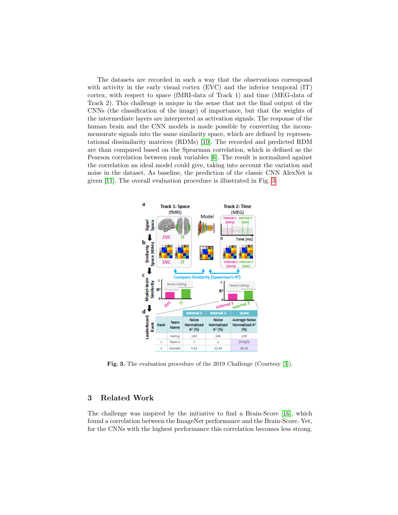The datasets are recorded in such a way that the observations correspond with activity in the early visual cortex (EVC) and the inferior temporal (IT) cortex, with respect to space (fMRI-data of Track 1) and time (MEG-data of Track 2). This challenge is unique in the sense that not the final output of the CNNs (the classification of the image) of importance, but that the weights of the intermediate layers are interpreted as activation signals. The response of the human brain and the CNN models is made possible by converting the incommensurate signals into the same similarity space, which are defined by representational dissimilarity matrices (RDMs) [\[10\]](#page-9-8). The recorded and predicted RDM are than compared based on the Spearman correlation, which is defined as the Pearson correlation between rank variables [\[6\]](#page-9-9). The result is normalized against the correlation an ideal model could give, taking into account the variation and noise in the dataset. As baseline, the prediction of the classic CNN AlexNet is given [\[11\]](#page-9-10). The overall evaluation procedure is illustrated in Fig. [3.](#page-3-0)



<span id="page-3-0"></span>Fig. 3. The evaluation procedure of the 2019 Challenge (Courtesy [\[3\]](#page-9-5)).

### 3 Related Work

The challenge was inspired by the initiative to find a Brain-Score [\[16\]](#page-9-4), which found a correlation between the ImageNet performance and the Brain-Score. Yet, for the CNNs with the highest performance this correlation becomes less strong.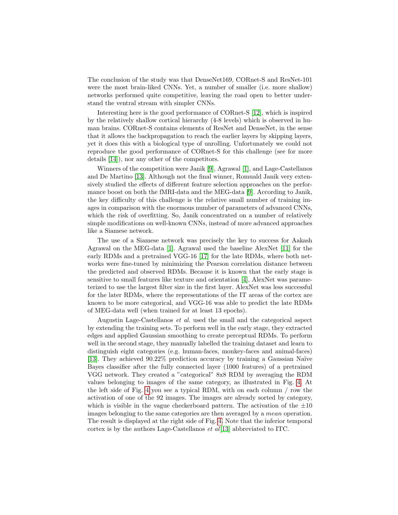The conclusion of the study was that DenseNet169, CORnet-S and ResNet-101 were the most brain-liked CNNs. Yet, a number of smaller (i.e. more shallow) networks performed quite competitive, leaving the road open to better understand the ventral stream with simpler CNNs.

Interesting here is the good performance of CORnet-S [\[12\]](#page-9-11), which is inspired by the relatively shallow cortical hierarchy (4-8 levels) which is observed in human brains. CORnet-S contains elements of ResNet and DenseNet, in the sense that it allows the backpropagation to reach the earlier layers by skipping layers, yet it does this with a biological type of unrolling. Unfortunately we could not reproduce the good performance of CORnet-S for this challenge (see for more details [\[14\]](#page-9-12)), nor any other of the competitors.

Winners of the competition were Janik [\[9\]](#page-9-13), Agrawal [\[1\]](#page-9-14), and Lage-Castellanos and De Martino [\[13\]](#page-9-15). Although not the final winner, Romuald Janik very extensively studied the effects of different feature selection approaches on the performance boost on both the fMRI-data and the MEG-data [\[9\]](#page-9-13). According to Janik, the key difficulty of this challenge is the relative small number of training images in comparison with the enormous number of parameters of advanced CNNs, which the risk of overfitting. So, Janik concentrated on a number of relatively simple modifications on well-known CNNs, instead of more advanced approaches like a Siamese network.

The use of a Siamese network was precisely the key to success for Aakash Agrawal on the MEG-data [\[1\]](#page-9-14). Agrawal used the baseline AlexNet [\[11\]](#page-9-10) for the early RDMs and a pretrained VGG-16 [\[17\]](#page-9-16) for the late RDMs, where both networks were fine-tuned by minimizing the Pearson correlation distance between the predicted and observed RDMs. Because it is known that the early stage is sensitive to small features like texture and orientation [\[4\]](#page-9-17), AlexNet was parameterized to use the largest filter size in the first layer. AlexNet was less successful for the later RDMs, where the representations of the IT areas of the cortex are known to be more categorical, and VGG-16 was able to predict the late RDMs of MEG-data well (when trained for at least 13 epochs).

Augustin Lage-Castellanos et al. used the small and the categorical aspect by extending the training sets. To perform well in the early stage, they extracted edges and applied Gaussian smoothing to create perceptual RDMs. To perform well in the second stage, they manually labelled the training dataset and learn to distinguish eight categories (e.g. human-faces, monkey-faces and animal-faces) [\[13\]](#page-9-15). They achieved 90.22% prediction accuracy by training a Gaussian Na¨ıve Bayes classifier after the fully connected layer (1000 features) of a pretrained VGG network. They created a "categorical" 8x8 RDM by averaging the RDM values belonging to images of the same category, as illustrated in Fig. [4.](#page-5-0) At the left side of Fig. [4](#page-5-0) you see a typical RDM, with on each column / row the activation of one of the 92 images. The images are already sorted by category, which is visible in the vague checkerboard pattern. The activation of the  $\pm 10$ images belonging to the same categories are then averaged by a mean operation. The result is displayed at the right side of Fig. [4.](#page-5-0) Note that the inferior temporal cortex is by the authors Lage-Castellanos  $et al[13]$  $et al[13]$  abbreviated to ITC.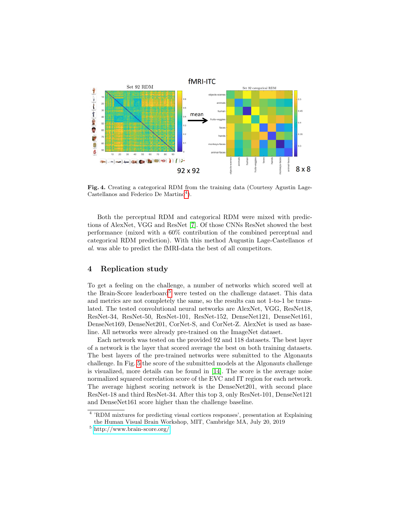

<span id="page-5-0"></span>Fig. 4. Creating a categorical RDM from the training data (Courtesy Agustin Lage-Castellanos and Federico De Martino<sup>[4](#page-5-1)</sup>).

Both the perceptual RDM and categorical RDM were mixed with predictions of AlexNet, VGG and ResNet [\[7\]](#page-9-18). Of those CNNs ResNet showed the best performance (mixed with a 60% contribution of the combined perceptual and categorical RDM prediction). With this method Augustin Lage-Castellanos et al. was able to predict the fMRI-data the best of all competitors.

#### 4 Replication study

To get a feeling on the challenge, a number of networks which scored well at the Brain-Score leaderboard<sup>[5](#page-5-2)</sup> were tested on the challenge dataset. This data and metrics are not completely the same, so the results can not 1-to-1 be translated. The tested convolutional neural networks are AlexNet, VGG, ResNet18, ResNet-34, ResNet-50, ResNet-101, ResNet-152, DenseNet121, DenseNet161, DenseNet169, DenseNet201, CorNet-S, and CorNet-Z. AlexNet is used as baseline. All networks were already pre-trained on the ImageNet dataset.

Each network was tested on the provided 92 and 118 datasets. The best layer of a network is the layer that scored average the best on both training datasets. The best layers of the pre-trained networks were submitted to the Algonauts challenge. In Fig. [5](#page-6-0) the score of the submitted models at the Algonauts challenge is visualized, more details can be found in [\[14\]](#page-9-12). The score is the average noise normalized squared correlation score of the EVC and IT region for each network. The average highest scoring network is the DenseNet201, with second place ResNet-18 and third ResNet-34. After this top 3, only ResNet-101, DenseNet121 and DenseNet161 score higher than the challenge baseline.

<span id="page-5-1"></span><sup>4</sup> 'RDM mixtures for predicting visual cortices responses', presentation at Explaining the Human Visual Brain Workshop, MIT, Cambridge MA, July 20, 2019

<span id="page-5-2"></span><sup>5</sup> <http://www.brain-score.org/>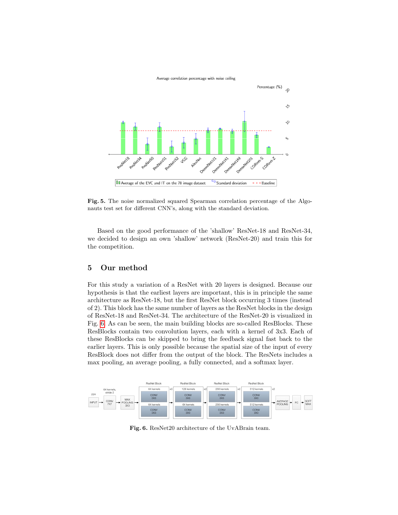

<span id="page-6-0"></span>Fig. 5. The noise normalized squared Spearman correlation percentage of the Algonauts test set for different CNN's, along with the standard deviation.

Based on the good performance of the 'shallow' ResNet-18 and ResNet-34, we decided to design an own 'shallow' network (ResNet-20) and train this for the competition.

### 5 Our method

For this study a variation of a ResNet with 20 layers is designed. Because our hypothesis is that the earliest layers are important, this is in principle the same architecture as ResNet-18, but the first ResNet block occurring 3 times (instead of 2). This block has the same number of layers as the ResNet blocks in the design of ResNet-18 and ResNet-34. The architecture of the ResNet-20 is visualized in Fig. [6.](#page-6-1) As can be seen, the main building blocks are so-called ResBlocks. These ResBlocks contain two convolution layers, each with a kernel of 3x3. Each of these ResBlocks can be skipped to bring the feedback signal fast back to the earlier layers. This is only possible because the spatial size of the input of every ResBlock does not differ from the output of the block. The ResNets includes a max pooling, an average pooling, a fully connected, and a softmax layer.



<span id="page-6-1"></span>Fig. 6. ResNet20 architecture of the UvABrain team.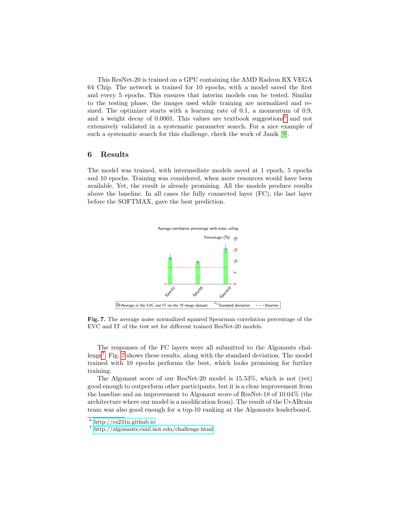This ResNet-20 is trained on a GPU containing the AMD Radeon RX VEGA 64 Chip. The network is trained for 10 epochs, with a model saved the first and every 5 epochs. This ensures that interim models can be tested. Similar to the testing phase, the images used while training are normalized and resized. The optimizer starts with a learning rate of 0.1, a momentum of 0.9, and a weight decay of 0.0001. This values are textbook suggestions<sup>[6](#page-7-0)</sup> and not extensively validated in a systematic parameter search. For a nice example of such a systematic search for this challenge, check the work of Janik [\[9\]](#page-9-13).

#### 6 Results

The model was trained, with intermediate models saved at 1 epoch, 5 epochs and 10 epochs. Training was considered, when more resources would have been available. Yet, the result is already promising. All the models produce results above the baseline. In all cases the fully connected layer (FC), the last layer before the SOFTMAX, gave the best prediction.



<span id="page-7-2"></span>Fig. 7. The average noise normalized squared Spearman correlation percentage of the EVC and IT of the test set for different trained ResNet-20 models.

The responses of the FC layers were all submitted to the Algonauts chal-lenge<sup>[7](#page-7-1)</sup>. Fig. [7](#page-7-2) shows these results, along with the standard deviation. The model trained with 10 epochs performs the best, which looks promising for further training.

The Algonaut score of our ResNet-20 model is 15.53%, which is not (yet) good enough to outperform other participants, but it is a clear improvement from the baseline and an improvement to Algonaut score of ResNet-18 of 10.04% (the architecture where our model is a modification from). The result of the UvABrain team was also good enough for a top-10 ranking at the Algonauts leaderboard.

<span id="page-7-0"></span> $6$  <http://cs231n.github.io>

<span id="page-7-1"></span><sup>7</sup> <http://algonauts.csail.mit.edu/challenge.html>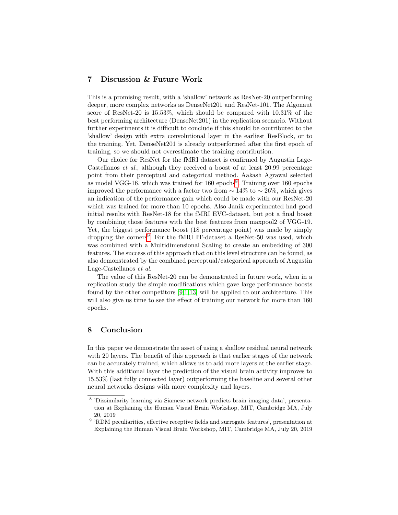## 7 Discussion & Future Work

This is a promising result, with a 'shallow' network as ResNet-20 outperforming deeper, more complex networks as DenseNet201 and ResNet-101. The Algonaut score of ResNet-20 is 15.53%, which should be compared with 10.31% of the best performing architecture (DenseNet201) in the replication scenario. Without further experiments it is difficult to conclude if this should be contributed to the 'shallow' design with extra convolutional layer in the earliest ResBlock, or to the training. Yet, DenseNet201 is already outperformed after the first epoch of training, so we should not overestimate the training contribution.

Our choice for ResNet for the fMRI dataset is confirmed by Augustin Lage-Castellanos et al., although they received a boost of at least 20.99 percentage point from their perceptual and categorical method. Aakash Agrawal selected as model VGG-16, which was trained for 160 epochs<sup>[8](#page-8-0)</sup>. Training over 160 epochs improved the performance with a factor two from  $\sim 14\%$  to  $\sim 26\%$ , which gives an indication of the performance gain which could be made with our ResNet-20 which was trained for more than 10 epochs. Also Janik experimented had good initial results with ResNet-18 for the fMRI EVC-dataset, but got a final boost by combining those features with the best features from maxpool2 of VGG-19. Yet, the biggest performance boost (18 percentage point) was made by simply dropping the corners<sup>[9](#page-8-1)</sup>. For the fMRI IT-dataset a ResNet-50 was used, which was combined with a Multidimensional Scaling to create an embedding of 300 features. The success of this approach that on this level structure can be found, as also demonstrated by the combined perceptual/categorical approach of Augustin Lage-Castellanos et al.

The value of this ResNet-20 can be demonstrated in future work, when in a replication study the simple modifications which gave large performance boosts found by the other competitors [\[9,](#page-9-13)[1,](#page-9-14)[13\]](#page-9-15) will be applied to our architecture. This will also give us time to see the effect of training our network for more than 160 epochs.

### 8 Conclusion

In this paper we demonstrate the asset of using a shallow residual neural network with 20 layers. The benefit of this approach is that earlier stages of the network can be accurately trained, which allows us to add more layers at the earlier stage. With this additional layer the prediction of the visual brain activity improves to 15.53% (last fully connected layer) outperforming the baseline and several other neural networks designs with more complexity and layers.

<span id="page-8-0"></span><sup>&</sup>lt;sup>8</sup> 'Dissimilarity learning via Siamese network predicts brain imaging data', presentation at Explaining the Human Visual Brain Workshop, MIT, Cambridge MA, July 20, 2019

<span id="page-8-1"></span><sup>&</sup>lt;sup>9</sup> 'RDM peculiarities, effective receptive fields and surrogate features', presentation at Explaining the Human Visual Brain Workshop, MIT, Cambridge MA, July 20, 2019